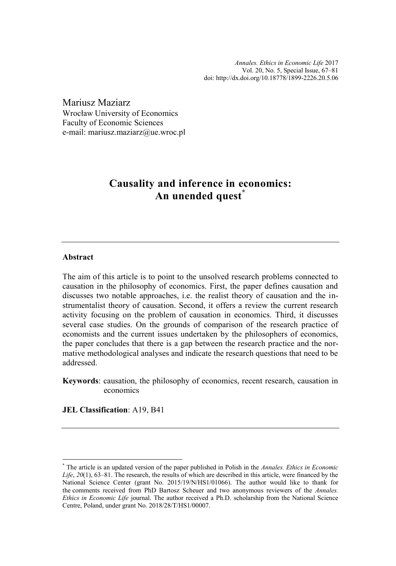*Annales. Ethics in Economic Life* 2017 Vol. 20, No. 5, Special Issue, 67–81 [doi: http://dx.doi.org/10.18778/1899-2226.20.5.0](http://dx.doi.org/10.18778/1899-2226.20.5.06)6

Mariusz Maziarz Wrocław University of Economics Faculty of Economic Sciences e-mail: mariusz.maziarz@ue.wroc.pl

# **Causality and inference in economics: An unended quest\***

#### **Abstract**

The aim of this article is to point to the unsolved research problems connected to causation in the philosophy of economics. First, the paper defines causation and discusses two notable approaches, i.e. the realist theory of causation and the instrumentalist theory of causation. Second, it offers a review the current research activity focusing on the problem of causation in economics. Third, it discusses several case studies. On the grounds of comparison of the research practice of economists and the current issues undertaken by the philosophers of economics, the paper concludes that there is a gap between the research practice and the normative methodological analyses and indicate the research questions that need to be addressed.

**Keywords**: causation, the philosophy of economics, recent research, causation in economics

**JEL Classification**: A19, B41

<sup>\*</sup> The article is an updated version of the paper published in Polish in the *Annales. Ethics in Economic Life*, *20*(1), 63–81. The research, the results of which are described in this article, were financed by the National Science Center (grant No. 2015/19/N/HS1/01066). The author would like to thank for the comments received from PhD Bartosz Scheuer and two anonymous reviewers of the *Annales. Ethics in Economic Life* journal. The author received a Ph.D. scholarship from the National Science Centre, Poland, under grant No. 2018/28/T/HS1/00007.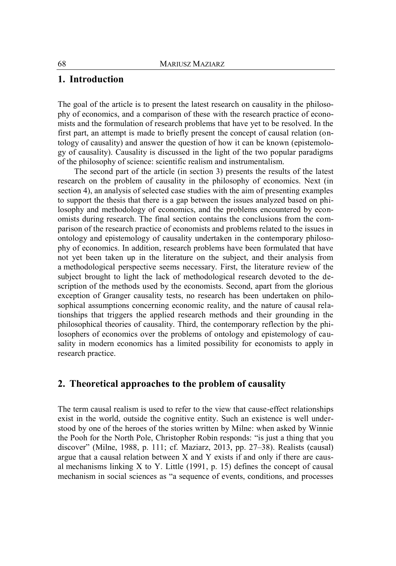# **1. Introduction**

The goal of the article is to present the latest research on causality in the philosophy of economics, and a comparison of these with the research practice of economists and the formulation of research problems that have yet to be resolved. In the first part, an attempt is made to briefly present the concept of causal relation (ontology of causality) and answer the question of how it can be known (epistemology of causality). Causality is discussed in the light of the two popular paradigms of the philosophy of science: scientific realism and instrumentalism.

The second part of the article (in section 3) presents the results of the latest research on the problem of causality in the philosophy of economics. Next (in section 4), an analysis of selected case studies with the aim of presenting examples to support the thesis that there is a gap between the issues analyzed based on philosophy and methodology of economics, and the problems encountered by economists during research. The final section contains the conclusions from the comparison of the research practice of economists and problems related to the issues in ontology and epistemology of causality undertaken in the contemporary philosophy of economics. In addition, research problems have been formulated that have not yet been taken up in the literature on the subject, and their analysis from a methodological perspective seems necessary. First, the literature review of the subject brought to light the lack of methodological research devoted to the description of the methods used by the economists. Second, apart from the glorious exception of Granger causality tests, no research has been undertaken on philosophical assumptions concerning economic reality, and the nature of causal relationships that triggers the applied research methods and their grounding in the philosophical theories of causality. Third, the contemporary reflection by the philosophers of economics over the problems of ontology and epistemology of causality in modern economics has a limited possibility for economists to apply in research practice.

# **2. Theoretical approaches to the problem of causality**

The term causal realism is used to refer to the view that cause-effect relationships exist in the world, outside the cognitive entity. Such an existence is well understood by one of the heroes of the stories written by Milne: when asked by Winnie the Pooh for the North Pole, Christopher Robin responds: "is just a thing that you discover" (Milne, 1988, p. 111; cf. Maziarz, 2013, pp. 27–38). Realists (causal) argue that a causal relation between X and Y exists if and only if there are causal mechanisms linking  $X$  to  $Y$ . Little (1991, p. 15) defines the concept of causal mechanism in social sciences as "a sequence of events, conditions, and processes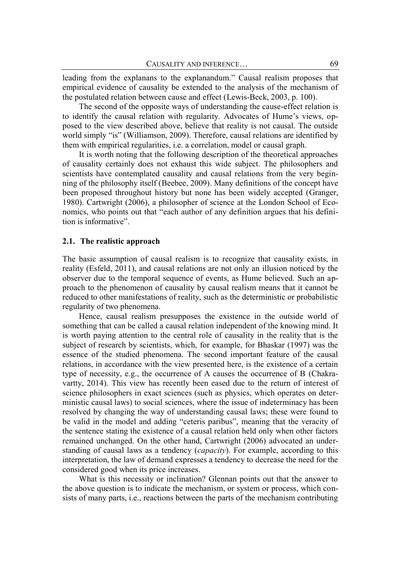leading from the explanans to the explanandum." Causal realism proposes that empirical evidence of causality be extended to the analysis of the mechanism of the postulated relation between cause and effect (Lewis-Beck, 2003, p. 100).

The second of the opposite ways of understanding the cause-effect relation is to identify the causal relation with regularity. Advocates of Hume's views, opposed to the view described above, believe that reality is not causal. The outside world simply "is" (Williamson, 2009). Therefore, causal relations are identified by them with empirical regularities, i.e. a correlation, model or causal graph.

It is worth noting that the following description of the theoretical approaches of causality certainly does not exhaust this wide subject. The philosophers and scientists have contemplated causality and causal relations from the very beginning of the philosophy itself (Beebee, 2009). Many definitions of the concept have been proposed throughout history but none has been widely accepted (Granger, 1980). Cartwright (2006), a philosopher of science at the London School of Economics, who points out that "each author of any definition argues that his definition is informative".

#### **2.1. The realistic approach**

The basic assumption of causal realism is to recognize that causality exists, in reality (Esfeld, 2011), and causal relations are not only an illusion noticed by the observer due to the temporal sequence of events, as Hume believed. Such an approach to the phenomenon of causality by causal realism means that it cannot be reduced to other manifestations of reality, such as the deterministic or probabilistic regularity of two phenomena.

Hence, causal realism presupposes the existence in the outside world of something that can be called a causal relation independent of the knowing mind. It is worth paying attention to the central role of causality in the reality that is the subject of research by scientists, which, for example, for Bhaskar (1997) was the essence of the studied phenomena. The second important feature of the causal relations, in accordance with the view presented here, is the existence of a certain type of necessity, e.g., the occurrence of A causes the occurrence of B (Chakravartty, 2014). This view has recently been eased due to the return of interest of science philosophers in exact sciences (such as physics, which operates on deterministic causal laws) to social sciences, where the issue of indeterminacy has been resolved by changing the way of understanding causal laws; these were found to be valid in the model and adding "ceteris paribus", meaning that the veracity of the sentence stating the existence of a causal relation held only when other factors remained unchanged. On the other hand, Cartwright (2006) advocated an understanding of causal laws as a tendency (*capacity*). For example, according to this interpretation, the law of demand expresses a tendency to decrease the need for the considered good when its price increases.

What is this necessity or inclination? Glennan points out that the answer to the above question is to indicate the mechanism, or system or process, which consists of many parts, i.e., reactions between the parts of the mechanism contributing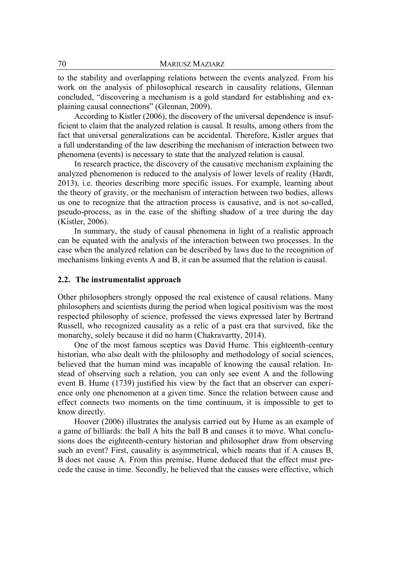to the stability and overlapping relations between the events analyzed. From his work on the analysis of philosophical research in causality relations, Glennan concluded, "discovering a mechanism is a gold standard for establishing and explaining causal connections" (Glennan, 2009).

According to Kistler (2006), the discovery of the universal dependence is insufficient to claim that the analyzed relation is causal. It results, among others from the fact that universal generalizations can be accidental. Therefore, Kistler argues that a full understanding of the law describing the mechanism of interaction between two phenomena (events) is necessary to state that the analyzed relation is causal.

In research practice, the discovery of the causative mechanism explaining the analyzed phenomenon is reduced to the analysis of lower levels of reality (Hardt, 2013), i.e. theories describing more specific issues. For example, learning about the theory of gravity, or the mechanism of interaction between two bodies, allows us one to recognize that the attraction process is causative, and is not so-called, pseudo-process, as in the case of the shifting shadow of a tree during the day (Kistler, 2006).

In summary, the study of causal phenomena in light of a realistic approach can be equated with the analysis of the interaction between two processes. In the case when the analyzed relation can be described by laws due to the recognition of mechanisms linking events A and B, it can be assumed that the relation is causal.

#### **2.2. The instrumentalist approach**

Other philosophers strongly opposed the real existence of causal relations. Many philosophers and scientists during the period when logical positivism was the most respected philosophy of science, professed the views expressed later by Bertrand Russell, who recognized causality as a relic of a past era that survived, like the monarchy, solely because it did no harm (Chakravartty, 2014).

One of the most famous sceptics was David Hume. This eighteenth-century historian, who also dealt with the philosophy and methodology of social sciences, believed that the human mind was incapable of knowing the causal relation. Instead of observing such a relation, you can only see event A and the following event B. Hume (1739) justified his view by the fact that an observer can experience only one phenomenon at a given time. Since the relation between cause and effect connects two moments on the time continuum, it is impossible to get to know directly.

Hoover (2006) illustrates the analysis carried out by Hume as an example of a game of billiards: the ball A hits the ball B and causes it to move. What conclusions does the eighteenth-century historian and philosopher draw from observing such an event? First, causality is asymmetrical, which means that if A causes B, B does not cause A. From this premise, Hume deduced that the effect must precede the cause in time. Secondly, he believed that the causes were effective, which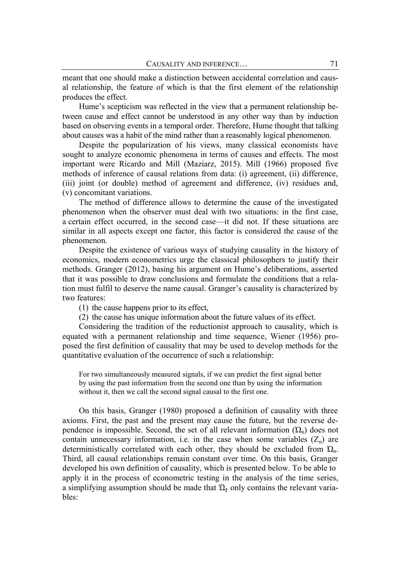meant that one should make a distinction between accidental correlation and causal relationship, the feature of which is that the first element of the relationship produces the effect.

Hume's scepticism was reflected in the view that a permanent relationship between cause and effect cannot be understood in any other way than by induction based on observing events in a temporal order. Therefore, Hume thought that talking about causes was a habit of the mind rather than a reasonably logical phenomenon.

Despite the popularization of his views, many classical economists have sought to analyze economic phenomena in terms of causes and effects. The most important were Ricardo and Mill (Maziarz, 2015). Mill (1966) proposed five methods of inference of causal relations from data: (i) agreement, (ii) difference, (iii) joint (or double) method of agreement and difference, (iv) residues and, (v) concomitant variations.

The method of difference allows to determine the cause of the investigated phenomenon when the observer must deal with two situations: in the first case, a certain effect occurred, in the second case—it did not. If these situations are similar in all aspects except one factor, this factor is considered the cause of the phenomenon.

Despite the existence of various ways of studying causality in the history of economics, modern econometrics urge the classical philosophers to justify their methods. Granger (2012), basing his argument on Hume's deliberations, asserted that it was possible to draw conclusions and formulate the conditions that a relation must fulfil to deserve the name causal. Granger's causality is characterized by two features:

(1) the cause happens prior to its effect,

(2) the cause has unique information about the future values of its effect.

Considering the tradition of the reductionist approach to causality, which is equated with a permanent relationship and time sequence, Wiener (1956) proposed the first definition of causality that may be used to develop methods for the quantitative evaluation of the occurrence of such a relationship:

For two simultaneously measured signals, if we can predict the first signal better by using the past information from the second one than by using the information without it, then we call the second signal causal to the first one.

On this basis, Granger (1980) proposed a definition of causality with three axioms. First, the past and the present may cause the future, but the reverse dependence is impossible. Second, the set of all relevant information  $(\Omega_n)$  does not contain unnecessary information, i.e. in the case when some variables  $(Z_n)$  are deterministically correlated with each other, they should be excluded from  $\Omega_{n}$ . Third, all causal relationships remain constant over time. On this basis, Granger developed his own definition of causality, which is presented below. To be able to apply it in the process of econometric testing in the analysis of the time series, a simplifying assumption should be made that  $\Omega_t$  only contains the relevant variables: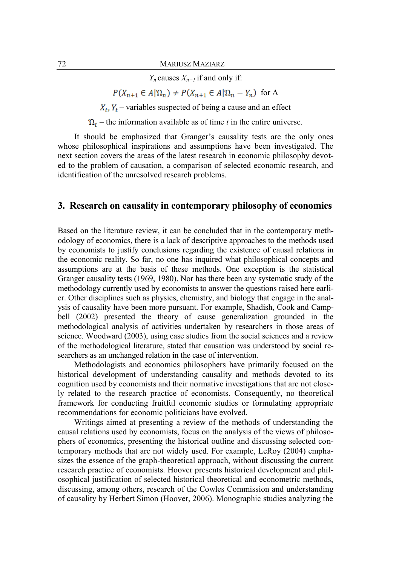*Y*<sub>n</sub> causes  $X_{n+1}$  if and only if:

 $P(X_{n+1} \in A | \Omega_n) \neq P(X_{n+1} \in A | \Omega_n - Y_n)$  for A

 $X_t$ ,  $Y_t$  – variables suspected of being a cause and an effect

 $\Omega_t$  – the information available as of time *t* in the entire universe.

It should be emphasized that Granger's causality tests are the only ones whose philosophical inspirations and assumptions have been investigated. The next section covers the areas of the latest research in economic philosophy devoted to the problem of causation, a comparison of selected economic research, and identification of the unresolved research problems.

### **3. Research on causality in contemporary philosophy of economics**

Based on the literature review, it can be concluded that in the contemporary methodology of economics, there is a lack of descriptive approaches to the methods used by economists to justify conclusions regarding the existence of causal relations in the economic reality. So far, no one has inquired what philosophical concepts and assumptions are at the basis of these methods. One exception is the statistical Granger causality tests (1969, 1980). Nor has there been any systematic study of the methodology currently used by economists to answer the questions raised here earlier. Other disciplines such as physics, chemistry, and biology that engage in the analysis of causality have been more pursuant. For example, Shadish, Cook and Campbell (2002) presented the theory of cause generalization grounded in the methodological analysis of activities undertaken by researchers in those areas of science. Woodward (2003), using case studies from the social sciences and a review of the methodological literature, stated that causation was understood by social researchers as an unchanged relation in the case of intervention.

Methodologists and economics philosophers have primarily focused on the historical development of understanding causality and methods devoted to its cognition used by economists and their normative investigations that are not closely related to the research practice of economists. Consequently, no theoretical framework for conducting fruitful economic studies or formulating appropriate recommendations for economic politicians have evolved.

Writings aimed at presenting a review of the methods of understanding the causal relations used by economists, focus on the analysis of the views of philosophers of economics, presenting the historical outline and discussing selected contemporary methods that are not widely used. For example, LeRoy (2004) emphasizes the essence of the graph-theoretical approach, without discussing the current research practice of economists. Hoover presents historical development and philosophical justification of selected historical theoretical and econometric methods, discussing, among others, research of the Cowles Commission and understanding of causality by Herbert Simon (Hoover, 2006). Monographic studies analyzing the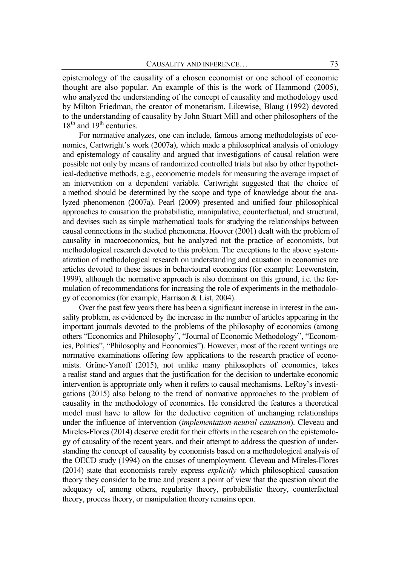epistemology of the causality of a chosen economist or one school of economic thought are also popular. An example of this is the work of Hammond (2005), who analyzed the understanding of the concept of causality and methodology used by Milton Friedman, the creator of monetarism. Likewise, Blaug (1992) devoted to the understanding of causality by John Stuart Mill and other philosophers of the  $18<sup>th</sup>$  and  $19<sup>th</sup>$  centuries.

For normative analyzes, one can include, famous among methodologists of economics, Cartwright's work (2007a), which made a philosophical analysis of ontology and epistemology of causality and argued that investigations of causal relation were possible not only by means of randomized controlled trials but also by other hypothetical-deductive methods, e.g., econometric models for measuring the average impact of an intervention on a dependent variable. Cartwright suggested that the choice of a method should be determined by the scope and type of knowledge about the analyzed phenomenon (2007a). Pearl (2009) presented and unified four philosophical approaches to causation the probabilistic, manipulative, counterfactual, and structural, and devises such as simple mathematical tools for studying the relationships between causal connections in the studied phenomena. Hoover (2001) dealt with the problem of causality in macroeconomics, but he analyzed not the practice of economists, but methodological research devoted to this problem. The exceptions to the above systematization of methodological research on understanding and causation in economics are articles devoted to these issues in behavioural economics (for example: Loewenstein, 1999), although the normative approach is also dominant on this ground, i.e. the formulation of recommendations for increasing the role of experiments in the methodology of economics (for example, Harrison & List, 2004).

Over the past few years there has been a significant increase in interest in the causality problem, as evidenced by the increase in the number of articles appearing in the important journals devoted to the problems of the philosophy of economics (among others "Economics and Philosophy", "Journal of Economic Methodology", "Economics, Politics", "Philosophy and Economics"). However, most of the recent writings are normative examinations offering few applications to the research practice of economists. Grüne-Yanoff (2015), not unlike many philosophers of economics, takes a realist stand and argues that the justification for the decision to undertake economic intervention is appropriate only when it refers to causal mechanisms. LeRoy's investigations (2015) also belong to the trend of normative approaches to the problem of causality in the methodology of economics. He considered the features a theoretical model must have to allow for the deductive cognition of unchanging relationships under the influence of intervention (*implementation-neutral causation*). Cleveau and Mireles-Flores (2014) deserve credit for their efforts in the research on the epistemology of causality of the recent years, and their attempt to address the question of understanding the concept of causality by economists based on a methodological analysis of the OECD study (1994) on the causes of unemployment. Cleveau and Mireles-Flores (2014) state that economists rarely express *explicitly* which philosophical causation theory they consider to be true and present a point of view that the question about the adequacy of, among others, regularity theory, probabilistic theory, counterfactual theory, process theory, or manipulation theory remains open.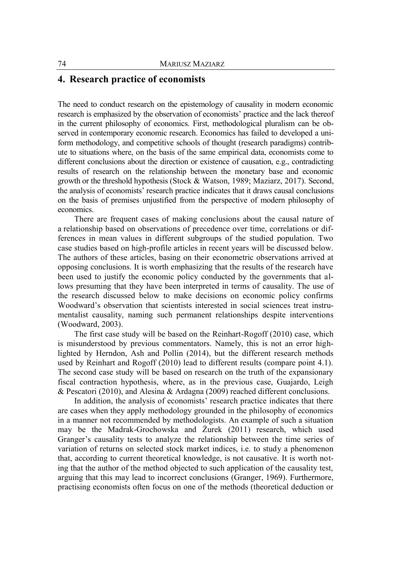# **4. Research practice of economists**

The need to conduct research on the epistemology of causality in modern economic research is emphasized by the observation of economists' practice and the lack thereof in the current philosophy of economics. First, methodological pluralism can be observed in contemporary economic research. Economics has failed to developed a uniform methodology, and competitive schools of thought (research paradigms) contribute to situations where, on the basis of the same empirical data, economists come to different conclusions about the direction or existence of causation, e.g., contradicting results of research on the relationship between the monetary base and economic growth or the threshold hypothesis (Stock & Watson, 1989; Maziarz, 2017). Second, the analysis of economists' research practice indicates that it draws causal conclusions on the basis of premises unjustified from the perspective of modern philosophy of economics.

There are frequent cases of making conclusions about the causal nature of a relationship based on observations of precedence over time, correlations or differences in mean values in different subgroups of the studied population. Two case studies based on high-profile articles in recent years will be discussed below. The authors of these articles, basing on their econometric observations arrived at opposing conclusions. It is worth emphasizing that the results of the research have been used to justify the economic policy conducted by the governments that allows presuming that they have been interpreted in terms of causality. The use of the research discussed below to make decisions on economic policy confirms Woodward's observation that scientists interested in social sciences treat instrumentalist causality, naming such permanent relationships despite interventions (Woodward, 2003).

The first case study will be based on the Reinhart-Rogoff (2010) case, which is misunderstood by previous commentators. Namely, this is not an error highlighted by Herndon, Ash and Pollin (2014), but the different research methods used by Reinhart and Rogoff (2010) lead to different results (compare point 4.1). The second case study will be based on research on the truth of the expansionary fiscal contraction hypothesis, where, as in the previous case, Guajardo, Leigh & Pescatori (2010), and Alesina & Ardagna (2009) reached different conclusions.

In addition, the analysis of economists' research practice indicates that there are cases when they apply methodology grounded in the philosophy of economics in a manner not recommended by methodologists. An example of such a situation may be the Madrak-Grochowska and Żurek (2011) research, which used Granger's causality tests to analyze the relationship between the time series of variation of returns on selected stock market indices, i.e. to study a phenomenon that, according to current theoretical knowledge, is not causative. It is worth noting that the author of the method objected to such application of the causality test, arguing that this may lead to incorrect conclusions (Granger, 1969). Furthermore, practising economists often focus on one of the methods (theoretical deduction or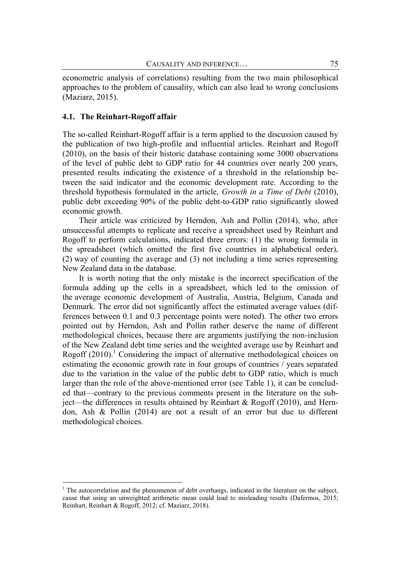econometric analysis of correlations) resulting from the two main philosophical approaches to the problem of causality, which can also lead to wrong conclusions (Maziarz, 2015).

#### **4.1. The Reinhart-Rogoff affair**

The so-called Reinhart-Rogoff affair is a term applied to the discussion caused by the publication of two high-profile and influential articles. Reinhart and Rogoff (2010), on the basis of their historic database containing some 3000 observations of the level of public debt to GDP ratio for 44 countries over nearly 200 years, presented results indicating the existence of a threshold in the relationship between the said indicator and the economic development rate. According to the threshold hypothesis formulated in the article, *Growth in a Time of Debt* (2010), public debt exceeding 90% of the public debt-to-GDP ratio significantly slowed economic growth.

Their article was criticized by Herndon, Ash and Pollin (2014), who, after unsuccessful attempts to replicate and receive a spreadsheet used by Reinhart and Rogoff to perform calculations, indicated three errors: (1) the wrong formula in the spreadsheet (which omitted the first five countries in alphabetical order), (2) way of counting the average and (3) not including a time series representing New Zealand data in the database.

It is worth noting that the only mistake is the incorrect specification of the formula adding up the cells in a spreadsheet, which led to the omission of the average economic development of Australia, Austria, Belgium, Canada and Denmark. The error did not significantly affect the estimated average values (differences between 0.1 and 0.3 percentage points were noted). The other two errors pointed out by Herndon, Ash and Pollin rather deserve the name of different methodological choices, because there are arguments justifying the non-inclusion of the New Zealand debt time series and the weighted average use by Reinhart and Rogoff  $(2010)$ <sup>1</sup> Considering the impact of alternative methodological choices on estimating the economic growth rate in four groups of countries / years separated due to the variation in the value of the public debt to GDP ratio, which is much larger than the role of the above-mentioned error (see Table 1), it can be concluded that—contrary to the previous comments present in the literature on the subject—the differences in results obtained by Reinhart & Rogoff (2010), and Herndon, Ash & Pollin (2014) are not a result of an error but due to different methodological choices.

<sup>&</sup>lt;sup>1</sup> The autocorrelation and the phenomenon of debt overhangs, indicated in the literature on the subject, cause that using an unweighted arithmetic mean could lead to misleading results (Dafermos, 2015; Reinhart, Reinhart & Rogoff, 2012; cf. Maziarz, 2018).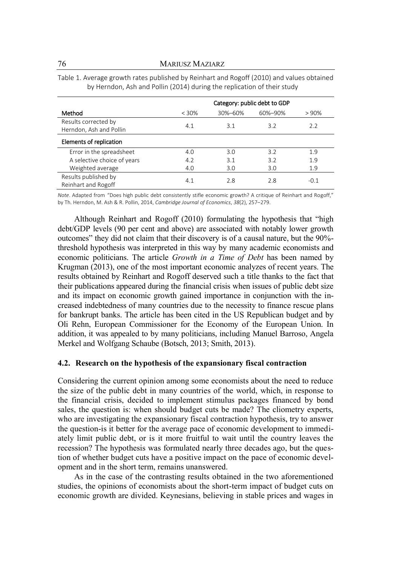|                                                 | Category: public debt to GDP |         |         |      |
|-------------------------------------------------|------------------------------|---------|---------|------|
| Method                                          | $< 30\%$                     | 30%-60% | 60%-90% | >90% |
| Results corrected by<br>Herndon, Ash and Pollin | 4.1                          | 3.1     | 3.2     | 2.2  |
| Elements of replication                         |                              |         |         |      |
| Error in the spreadsheet                        | 4.0                          | 3.0     | 3.2     | 1.9  |
| A selective choice of years                     | 4.2                          | 3.1     | 3.2     | 1.9  |
| Weighted average                                | 4.0                          | 3.0     | 3.0     | 1.9  |
| Results published by<br>Reinhart and Rogoff     | 4.1                          | 2.8     | 2.8     | -0.1 |

Table 1. Average growth rates published by Reinhart and Rogoff (2010) and values obtained by Herndon, Ash and Pollin (2014) during the replication of their study

*Note*. Adapted from "Does high public debt consistently stifle economic growth? A critique of Reinhart and Rogoff," by Th. Herndon, M. Ash & R. Pollin, 2014, *Cambridge Journal of Economics*, *38*(2), 257–279.

Although Reinhart and Rogoff (2010) formulating the hypothesis that "high debt/GDP levels (90 per cent and above) are associated with notably lower growth outcomes" they did not claim that their discovery is of a causal nature, but the 90% threshold hypothesis was interpreted in this way by many academic economists and economic politicians. The article *Growth in a Time of Debt* has been named by Krugman (2013), one of the most important economic analyzes of recent years. The results obtained by Reinhart and Rogoff deserved such a title thanks to the fact that their publications appeared during the financial crisis when issues of public debt size and its impact on economic growth gained importance in conjunction with the increased indebtedness of many countries due to the necessity to finance rescue plans for bankrupt banks. The article has been cited in the US Republican budget and by Oli Rehn, European Commissioner for the Economy of the European Union. In addition, it was appealed to by many politicians, including Manuel Barroso, Angela Merkel and Wolfgang Schaube (Botsch, 2013; Smith, 2013).

#### **4.2. Research on the hypothesis of the expansionary fiscal contraction**

Considering the current opinion among some economists about the need to reduce the size of the public debt in many countries of the world, which, in response to the financial crisis, decided to implement stimulus packages financed by bond sales, the question is: when should budget cuts be made? The cliometry experts, who are investigating the expansionary fiscal contraction hypothesis, try to answer the question-is it better for the average pace of economic development to immediately limit public debt, or is it more fruitful to wait until the country leaves the recession? The hypothesis was formulated nearly three decades ago, but the question of whether budget cuts have a positive impact on the pace of economic development and in the short term, remains unanswered.

As in the case of the contrasting results obtained in the two aforementioned studies, the opinions of economists about the short-term impact of budget cuts on economic growth are divided. Keynesians, believing in stable prices and wages in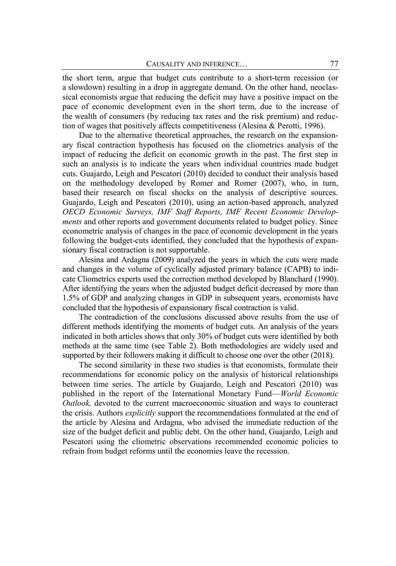the short term, argue that budget cuts contribute to a short-term recession (or a slowdown) resulting in a drop in aggregate demand. On the other hand, neoclassical economists argue that reducing the deficit may have a positive impact on the pace of economic development even in the short term, due to the increase of the wealth of consumers (by reducing tax rates and the risk premium) and reduction of wages that positively affects competitiveness (Alesina & Perotti, 1996).

Due to the alternative theoretical approaches, the research on the expansionary fiscal contraction hypothesis has focused on the cliometrics analysis of the impact of reducing the deficit on economic growth in the past. The first step in such an analysis is to indicate the years when individual countries made budget cuts. Guajardo, Leigh and Pescatori (2010) decided to conduct their analysis based on the methodology developed by Romer and Romer (2007), who, in turn, based their research on fiscal shocks on the analysis of descriptive sources. Guajardo, Leigh and Pescatori (2010), using an action-based approach, analyzed *OECD Economic Surveys, IMF Staff Reports, IMF Recent Economic Developments* and other reports and government documents related to budget policy. Since econometric analysis of changes in the pace of economic development in the years following the budget-cuts identified, they concluded that the hypothesis of expansionary fiscal contraction is not supportable.

Alesina and Ardagna (2009) analyzed the years in which the cuts were made and changes in the volume of cyclically adjusted primary balance (CAPB) to indicate Cliometrics experts used the correction method developed by Blanchard (1990). After identifying the years when the adjusted budget deficit decreased by more than 1.5% of GDP and analyzing changes in GDP in subsequent years, economists have concluded that the hypothesis of expansionary fiscal contraction is valid.

The contradiction of the conclusions discussed above results from the use of different methods identifying the moments of budget cuts. An analysis of the years indicated in both articles shows that only 30% of budget cuts were identified by both methods at the same time (see Table 2). Both methodologies are widely used and supported by their followers making it difficult to choose one over the other (2018).

The second similarity in these two studies is that economists, formulate their recommendations for economic policy on the analysis of historical relationships between time series. The article by Guajardo, Leigh and Pescatori (2010) was published in the report of the International Monetary Fund—*World Economic Outlook,* devoted to the current macroeconomic situation and ways to counteract the crisis. Authors *explicitly* support the recommendations formulated at the end of the article by Alesina and Ardagna, who advised the immediate reduction of the size of the budget deficit and public debt. On the other hand, Guajardo, Leigh and Pescatori using the cliometric observations recommended economic policies to refrain from budget reforms until the economies leave the recession.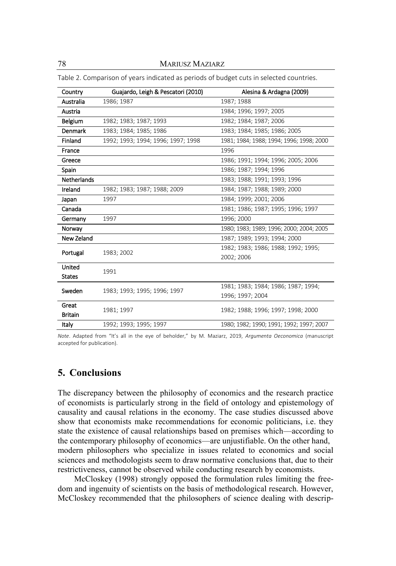78 MARIUSZ MAZIARZ

| Country            | Guajardo, Leigh & Pescatori (2010) | Alesina & Ardagna (2009)                 |  |
|--------------------|------------------------------------|------------------------------------------|--|
| Australia          | 1986; 1987                         | 1987; 1988                               |  |
| Austria            |                                    | 1984; 1996; 1997; 2005                   |  |
| Belgium            | 1982; 1983; 1987; 1993             | 1982; 1984; 1987; 2006                   |  |
| Denmark            | 1983; 1984; 1985; 1986             | 1983; 1984; 1985; 1986; 2005             |  |
| Finland            | 1992; 1993; 1994; 1996; 1997; 1998 | 1981; 1984; 1988; 1994; 1996; 1998; 2000 |  |
| France             |                                    | 1996                                     |  |
| Greece             |                                    | 1986; 1991; 1994; 1996; 2005; 2006       |  |
| Spain              |                                    | 1986; 1987; 1994; 1996                   |  |
| <b>Netherlands</b> |                                    | 1983; 1988; 1991; 1993; 1996             |  |
| Ireland            | 1982; 1983; 1987; 1988; 2009       | 1984; 1987; 1988; 1989; 2000             |  |
| Japan              | 1997                               | 1984; 1999; 2001; 2006                   |  |
| Canada             |                                    | 1981; 1986; 1987; 1995; 1996; 1997       |  |
| Germany            | 1997                               | 1996; 2000                               |  |
| Norway             |                                    | 1980; 1983; 1989; 1996; 2000; 2004; 2005 |  |
| New Zeland         |                                    | 1987; 1989; 1993; 1994; 2000             |  |
| Portugal           | 1983; 2002                         | 1982; 1983; 1986; 1988; 1992; 1995;      |  |
|                    |                                    | 2002; 2006                               |  |
| United             | 1991                               |                                          |  |
| <b>States</b>      |                                    |                                          |  |
| Sweden             | 1983; 1993; 1995; 1996; 1997       | 1981; 1983; 1984; 1986; 1987; 1994;      |  |
|                    |                                    | 1996; 1997; 2004                         |  |
| Great              | 1981; 1997                         | 1982; 1988; 1996; 1997; 1998; 2000       |  |
| <b>Britain</b>     |                                    |                                          |  |
| Italy              | 1992; 1993; 1995; 1997             | 1980; 1982; 1990; 1991; 1992; 1997; 2007 |  |

Table 2. Comparison of years indicated as periods of budget cuts in selected countries.

*Note*. Adapted from "It's all in the eye of beholder," by M. Maziarz, 2019, *Argumenta Oeconomica* (manuscript accepted for publication).

# **5. Conclusions**

The discrepancy between the philosophy of economics and the research practice of economists is particularly strong in the field of ontology and epistemology of causality and causal relations in the economy. The case studies discussed above show that economists make recommendations for economic politicians, i.e. they state the existence of causal relationships based on premises which—according to the contemporary philosophy of economics—are unjustifiable. On the other hand, modern philosophers who specialize in issues related to economics and social sciences and methodologists seem to draw normative conclusions that, due to their restrictiveness, cannot be observed while conducting research by economists.

McCloskey (1998) strongly opposed the formulation rules limiting the freedom and ingenuity of scientists on the basis of methodological research. However, McCloskey recommended that the philosophers of science dealing with descrip-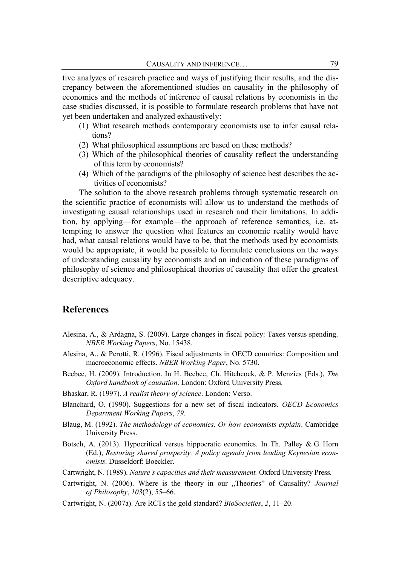tive analyzes of research practice and ways of justifying their results, and the discrepancy between the aforementioned studies on causality in the philosophy of economics and the methods of inference of causal relations by economists in the case studies discussed, it is possible to formulate research problems that have not yet been undertaken and analyzed exhaustively:

- (1) What research methods contemporary economists use to infer causal relations?
- (2) What philosophical assumptions are based on these methods?
- (3) Which of the philosophical theories of causality reflect the understanding of this term by economists?
- (4) Which of the paradigms of the philosophy of science best describes the activities of economists?

The solution to the above research problems through systematic research on the scientific practice of economists will allow us to understand the methods of investigating causal relationships used in research and their limitations. In addition, by applying—for example—the approach of reference semantics, i.e. attempting to answer the question what features an economic reality would have had, what causal relations would have to be, that the methods used by economists would be appropriate, it would be possible to formulate conclusions on the ways of understanding causality by economists and an indication of these paradigms of philosophy of science and philosophical theories of causality that offer the greatest descriptive adequacy.

# **References**

- Alesina, A., & Ardagna, S. (2009). Large changes in fiscal policy: Taxes versus spending. *NBER Working Papers*, No. 15438.
- Alesina, A., & Perotti, R. (1996). Fiscal adjustments in OECD countries: Composition and macroeconomic effects. *NBER Working Paper*, No. 5730.
- Beebee, H. (2009). Introduction. In H. Beebee, Ch. Hitchcock, & P. Menzies (Eds.), *The Oxford handbook of causation*. London: Oxford University Press.
- Bhaskar, R. (1997). *A realist theory of science*. London: Verso.
- Blanchard, O. (1990). Suggestions for a new set of fiscal indicators. *OECD Economics Department Working Papers*, *79*.
- Blaug, M. (1992). *The methodology of economics. Or how economists explain*. Cambridge University Press.
- Botsch, A. (2013). Hypocritical versus hippocratic economics. In Th. Palley & G. Horn (Ed.), *Restoring shared prosperity. A policy agenda from leading Keynesian economists*. Dusseldorf: Boeckler.

Cartwright, N. (1989). *Nature's capacities and their measurement.* Oxford University Press.

- Cartwright, N. (2006). Where is the theory in our "Theories" of Causality? Journal *of Philosophy*, *103*(2), 55–66.
- Cartwright, N. (2007a). Are RCTs the gold standard? *BioSocieties*, *2*, 11–20.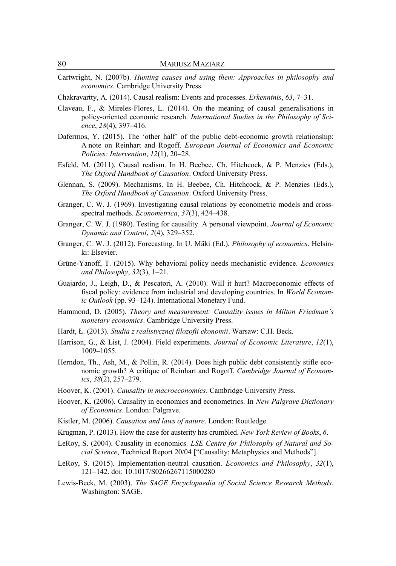Cartwright, N. (2007b). *Hunting causes and using them: Approaches in philosophy and economics.* Cambridge University Press.

Chakravartty, A. (2014). Causal realism: Events and processes. *Erkenntnis*, *63*, 7–31.

- Claveau, F., & Mireles-Flores, L. (2014). On the meaning of causal generalisations in policy-oriented economic research. *International Studies in the Philosophy of Science*, *28*(4), 397–416.
- Dafermos, Y. (2015). The 'other half' of the public debt-economic growth relationship: A note on Reinhart and Rogoff. *European Journal of Economics and Economic Policies: Intervention*, *12*(1), 20–28.
- Esfeld, M. (2011). Causal realism. In H. Beebee, Ch. Hitchcock, & P. Menzies (Eds.), *The Oxford Handbook of Causation*. Oxford University Press.
- Glennan, S. (2009). Mechanisms. In H. Beebee, Ch. Hitchcock, & P. Menzies (Eds.), *The Oxford Handbook of Causation*. Oxford University Press.
- Granger, C. W. J. (1969). Investigating causal relations by econometric models and crossspectral methods. *Econometrica*, *37*(3), 424–438.
- Granger, C. W. J. (1980). Testing for causality. A personal viewpoint. *Journal of Economic Dynamic and Control*, *2*(4), 329–352.
- Granger, C. W. J. (2012). Forecasting. In U. Mäki (Ed.), *Philosophy of economics*. Helsinki: Elsevier.
- Grüne-Yanoff, T. (2015). Why behavioral policy needs mechanistic evidence. *Economics and Philosophy*, *32*(3), 1–21.
- Guajardo, J., Leigh, D., & Pescatori, A. (2010). Will it hurt? Macroeconomic effects of fiscal policy: evidence from industrial and developing countries. In *World Economic Outlook* (pp. 93–124). International Monetary Fund.
- Hammond, D. (2005). *Theory and measurement: Causality issues in Milton Friedman's monetary economics*. Cambridge University Press.
- Hardt, Ł. (2013). *Studia z realistycznej filozofii ekonomii*. Warsaw: C.H. Beck.
- Harrison, G., & List, J. (2004). Field experiments. *Journal of Economic Literature*, *12*(1), 1009–1055.
- Herndon, Th., Ash, M., & Pollin, R. (2014). Does high public debt consistently stifle economic growth? A critique of Reinhart and Rogoff. *Cambridge Journal of Economics*, *38*(2), 257–279.
- Hoover, K. (2001). *Causality in macroeconomics*. Cambridge University Press.
- Hoover, K. (2006). Causality in economics and econometrics. In *New Palgrave Dictionary of Economics*. London: Palgrave.
- Kistler, M. (2006). *Causation and laws of nature*. London: Routledge.
- Krugman, P. (2013). How the case for austerity has crumbled. *New York Review of Books*, *6*.
- LeRoy, S. (2004). Causality in economics. *LSE Centre for Philosophy of Natural and Social Science*, Technical Report 20/04 ["Causality: Metaphysics and Methods"].
- LeRoy, S. (2015). Implementation-neutral causation. *Economics and Philosophy*, *32*(1), 121–142. doi: 10.1017/S0266267115000280
- Lewis-Beck, M. (2003). *The SAGE Encyclopaedia of Social Science Research Methods*. Washington: SAGE.